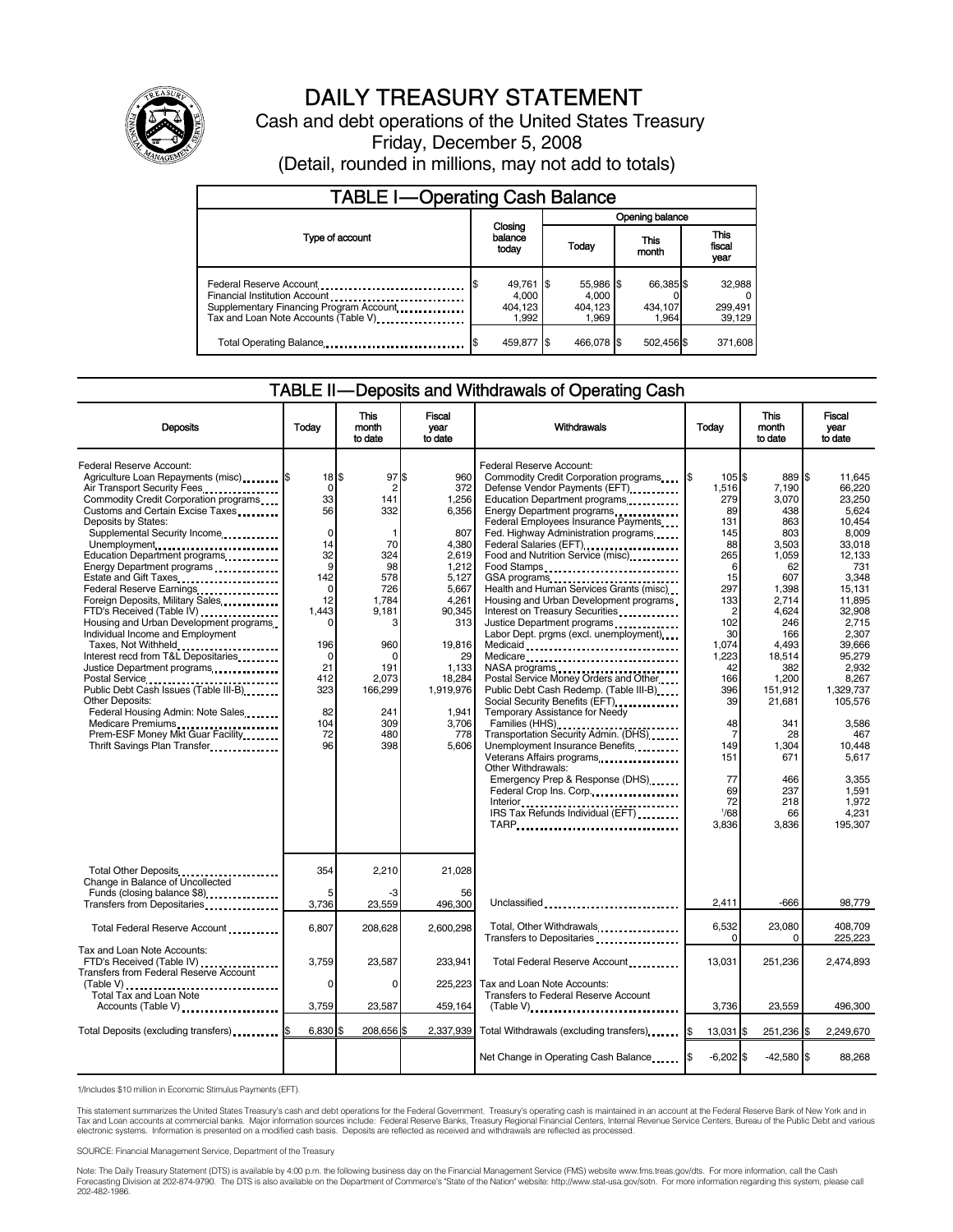

# DAILY TREASURY STATEMENT

Cash and debt operations of the United States Treasury Friday, December 5, 2008 (Detail, rounded in millions, may not add to totals)

| <b>TABLE I-Operating Cash Balance</b>                                                                            |                                        |                                        |                               |                               |  |  |
|------------------------------------------------------------------------------------------------------------------|----------------------------------------|----------------------------------------|-------------------------------|-------------------------------|--|--|
|                                                                                                                  |                                        | Opening balance                        |                               |                               |  |  |
| Type of account                                                                                                  | balance<br>today                       | Closing<br>Today                       |                               | <b>This</b><br>fiscal<br>year |  |  |
| Financial Institution Account<br>Supplementary Financing Program Account<br>Tax and Loan Note Accounts (Table V) | 49,761 \$<br>4.000<br>404.123<br>1.992 | 55,986 \$<br>4.000<br>404.123<br>1.969 | 66,385 \$<br>434.107<br>1.964 | 32,988<br>299,491<br>39,129   |  |  |
| Total Operating Balance                                                                                          | 459,877 \$                             | 466,078 \$                             | 502,456 \$                    | 371,608                       |  |  |

### TABLE II — Deposits and Withdrawals of Operating Cash

| <b>Deposits</b>                                                                                                                                                                                                                                                                                                                                                                                                                                                                                                                                                                                                                                                                                                                                                                                  | Today                                                                                                                                                                   | <b>This</b><br>month<br>to date                                                                                                                                      | <b>Fiscal</b><br>year<br>to date                                                                                                                                                             | <b>Withdrawals</b>                                                                                                                                                                                                                                                                                                                                                                                                                                                                                                                                                                                                                                                                                                                                                                                                                                                                                                                                                                                           | Today                                                                                                                                                                                                                 | <b>This</b><br>month<br>to date                                                                                                                                                                                                                | Fiscal<br>vear<br>to date                                                                                                                                                                                                                                                                  |
|--------------------------------------------------------------------------------------------------------------------------------------------------------------------------------------------------------------------------------------------------------------------------------------------------------------------------------------------------------------------------------------------------------------------------------------------------------------------------------------------------------------------------------------------------------------------------------------------------------------------------------------------------------------------------------------------------------------------------------------------------------------------------------------------------|-------------------------------------------------------------------------------------------------------------------------------------------------------------------------|----------------------------------------------------------------------------------------------------------------------------------------------------------------------|----------------------------------------------------------------------------------------------------------------------------------------------------------------------------------------------|--------------------------------------------------------------------------------------------------------------------------------------------------------------------------------------------------------------------------------------------------------------------------------------------------------------------------------------------------------------------------------------------------------------------------------------------------------------------------------------------------------------------------------------------------------------------------------------------------------------------------------------------------------------------------------------------------------------------------------------------------------------------------------------------------------------------------------------------------------------------------------------------------------------------------------------------------------------------------------------------------------------|-----------------------------------------------------------------------------------------------------------------------------------------------------------------------------------------------------------------------|------------------------------------------------------------------------------------------------------------------------------------------------------------------------------------------------------------------------------------------------|--------------------------------------------------------------------------------------------------------------------------------------------------------------------------------------------------------------------------------------------------------------------------------------------|
| Federal Reserve Account:<br>Agriculture Loan Repayments (misc) \$<br>Air Transport Security Fees<br>Commodity Credit Corporation programs<br>Customs and Certain Excise Taxes<br>Deposits by States:<br>Supplemental Security Income<br>Unemployment<br>Education Department programs<br>Energy Department programs<br>Federal Reserve Earnings<br>Foreign Deposits, Military Sales<br>FTD's Received (Table IV)<br>Housing and Urban Development programs<br>Individual Income and Employment<br>Taxes, Not Withheld<br>Interest recd from T&L Depositaries<br>Justice Department programs<br><br>Public Debt Cash Issues (Table III-B)<br><b>Other Deposits:</b><br>Federal Housing Admin: Note Sales<br>Medicare Premiums<br>Prem-ESF Money Mkt Guar Facility<br>Thrift Savings Plan Transfer | 18 \$<br>0<br>33<br>56<br>$\mathbf 0$<br>14<br>32<br>9<br>142<br>$\mathbf 0$<br>12<br>1,443<br>$\Omega$<br>196<br>$\Omega$<br>21<br>412<br>323<br>82<br>104<br>72<br>96 | 97S<br>$\overline{c}$<br>141<br>332<br>-1<br>70<br>324<br>98<br>578<br>726<br>1,784<br>9,181<br>3<br>960<br>O<br>191<br>2,073<br>166,299<br>241<br>309<br>480<br>398 | 960<br>372<br>1,256<br>6.356<br>807<br>4.380<br>2.619<br>1,212<br>5.127<br>5.667<br>4,261<br>90,345<br>313<br>19,816<br>29<br>1,133<br>18,284<br>1,919,976<br>1.941<br>3,706<br>778<br>5,606 | Federal Reserve Account:<br>Commodity Credit Corporation programs<br>Defense Vendor Payments (EFT)<br>Education Department programs<br>Energy Department programs<br><br>Federal Employees Insurance Payments<br>Fed. Highway Administration programs<br>Federal Salaries (EFT)<br>1991 - The Marine Salaries (EFT)<br>Food and Nutrition Service (misc)<br>Food Stamps<br>GSA programs<br>Health and Human Services Grants (misc)<br>Housing and Urban Development programs<br>Interest on Treasury Securities <b>Constants</b><br>Justice Department programs<br>Labor Dept. prgms (excl. unemployment)<br>Medicaid<br>Medicare<br>NASA programs<br>Postal Service Money Orders and Other<br>Public Debt Cash Redemp. (Table III-B)<br>Social Security Benefits (EFT)<br>Temporary Assistance for Needy<br>Transportation Security Admin. (DHS)<br>Unemployment Insurance Benefits<br>Veterans Affairs programs<br>Other Withdrawals:<br>Emergency Prep & Response (DHS)<br>Federal Crop Ins. Corp<br>TARP | 105S<br>1,516<br>279<br>89<br>131<br>145<br>88<br>265<br>6<br>15<br>297<br>133<br>$\overline{c}$<br>102<br>30<br>1,074<br>1,223<br>42<br>166<br>396<br>39<br>48<br>7<br>149<br>151<br>77<br>69<br>72<br>1/68<br>3,836 | 889 \$<br>7,190<br>3,070<br>438<br>863<br>803<br>3.503<br>1.059<br>62<br>607<br>1.398<br>2,714<br>4,624<br>246<br>166<br>4.493<br>18,514<br>382<br>1,200<br>151,912<br>21,681<br>341<br>28<br>1,304<br>671<br>466<br>237<br>218<br>66<br>3,836 | 11.645<br>66.220<br>23,250<br>5.624<br>10.454<br>8.009<br>33.018<br>12.133<br>731<br>3.348<br>15.131<br>11.895<br>32,908<br>2.715<br>2,307<br>39.666<br>95,279<br>2,932<br>8,267<br>1.329.737<br>105,576<br>3,586<br>467<br>10.448<br>5.617<br>3.355<br>1,591<br>1,972<br>4,231<br>195,307 |
| Total Other Deposits<br>Change in Balance of Uncollected<br>Funds (closing balance \$8)                                                                                                                                                                                                                                                                                                                                                                                                                                                                                                                                                                                                                                                                                                          | 354<br>5                                                                                                                                                                | 2,210<br>-3                                                                                                                                                          | 21,028<br>56                                                                                                                                                                                 |                                                                                                                                                                                                                                                                                                                                                                                                                                                                                                                                                                                                                                                                                                                                                                                                                                                                                                                                                                                                              |                                                                                                                                                                                                                       |                                                                                                                                                                                                                                                |                                                                                                                                                                                                                                                                                            |
| Transfers from Depositaries                                                                                                                                                                                                                                                                                                                                                                                                                                                                                                                                                                                                                                                                                                                                                                      | 3,736                                                                                                                                                                   | 23,559                                                                                                                                                               | 496,300                                                                                                                                                                                      | Unclassified                                                                                                                                                                                                                                                                                                                                                                                                                                                                                                                                                                                                                                                                                                                                                                                                                                                                                                                                                                                                 | 2.411                                                                                                                                                                                                                 | $-666$                                                                                                                                                                                                                                         | 98,779                                                                                                                                                                                                                                                                                     |
| Total Federal Reserve Account                                                                                                                                                                                                                                                                                                                                                                                                                                                                                                                                                                                                                                                                                                                                                                    | 6,807                                                                                                                                                                   | 208,628                                                                                                                                                              | 2,600,298                                                                                                                                                                                    | Total, Other Withdrawals<br>Transfers to Depositaries                                                                                                                                                                                                                                                                                                                                                                                                                                                                                                                                                                                                                                                                                                                                                                                                                                                                                                                                                        | 6,532<br>$\Omega$                                                                                                                                                                                                     | 23,080<br>$\Omega$                                                                                                                                                                                                                             | 408.709<br>225,223                                                                                                                                                                                                                                                                         |
| Tax and Loan Note Accounts:<br>FTD's Received (Table IV)<br><b>Transfers from Federal Reserve Account</b>                                                                                                                                                                                                                                                                                                                                                                                                                                                                                                                                                                                                                                                                                        | 3,759<br>$\Omega$                                                                                                                                                       | 23,587<br>$\Omega$                                                                                                                                                   | 233.941<br>225.223                                                                                                                                                                           | Total Federal Reserve Account<br>Tax and Loan Note Accounts:                                                                                                                                                                                                                                                                                                                                                                                                                                                                                                                                                                                                                                                                                                                                                                                                                                                                                                                                                 | 13,031                                                                                                                                                                                                                | 251,236                                                                                                                                                                                                                                        | 2,474,893                                                                                                                                                                                                                                                                                  |
| Total Tax and Loan Note                                                                                                                                                                                                                                                                                                                                                                                                                                                                                                                                                                                                                                                                                                                                                                          |                                                                                                                                                                         |                                                                                                                                                                      |                                                                                                                                                                                              | <b>Transfers to Federal Reserve Account</b>                                                                                                                                                                                                                                                                                                                                                                                                                                                                                                                                                                                                                                                                                                                                                                                                                                                                                                                                                                  |                                                                                                                                                                                                                       |                                                                                                                                                                                                                                                |                                                                                                                                                                                                                                                                                            |
| Accounts (Table V)                                                                                                                                                                                                                                                                                                                                                                                                                                                                                                                                                                                                                                                                                                                                                                               | 3,759                                                                                                                                                                   | 23,587                                                                                                                                                               | 459,164                                                                                                                                                                                      |                                                                                                                                                                                                                                                                                                                                                                                                                                                                                                                                                                                                                                                                                                                                                                                                                                                                                                                                                                                                              | 3,736                                                                                                                                                                                                                 | 23,559                                                                                                                                                                                                                                         | 496,300                                                                                                                                                                                                                                                                                    |
| Total Deposits (excluding transfers)                                                                                                                                                                                                                                                                                                                                                                                                                                                                                                                                                                                                                                                                                                                                                             | 6,830                                                                                                                                                                   | 208,656                                                                                                                                                              |                                                                                                                                                                                              | 2,337,939 Total Withdrawals (excluding transfers)                                                                                                                                                                                                                                                                                                                                                                                                                                                                                                                                                                                                                                                                                                                                                                                                                                                                                                                                                            | 13.031 \$                                                                                                                                                                                                             | 251.236 \$                                                                                                                                                                                                                                     | 2.249.670                                                                                                                                                                                                                                                                                  |
|                                                                                                                                                                                                                                                                                                                                                                                                                                                                                                                                                                                                                                                                                                                                                                                                  |                                                                                                                                                                         |                                                                                                                                                                      |                                                                                                                                                                                              | Net Change in Operating Cash Balance                                                                                                                                                                                                                                                                                                                                                                                                                                                                                                                                                                                                                                                                                                                                                                                                                                                                                                                                                                         | $-6,202$ \$                                                                                                                                                                                                           | $-42,580$ \$                                                                                                                                                                                                                                   | 88,268                                                                                                                                                                                                                                                                                     |

1/Includes \$10 million in Economic Stimulus Payments (EFT).

This statement summarizes the United States Treasury's cash and debt operations for the Federal Government. Treasury's operating cash is maintained in an account at the Federal Reserve Bank of New York and in<br>Tax and Loan

SOURCE: Financial Management Service, Department of the Treasury

Note: The Daily Treasury Statement (DTS) is available by 4:00 p.m. the following business day on the Financial Management Service (FMS) website www.fms.treas.gov/dts. For more information, call the Cash<br>Forecasting Divisio eas.gov/dts. F<br>For more infor